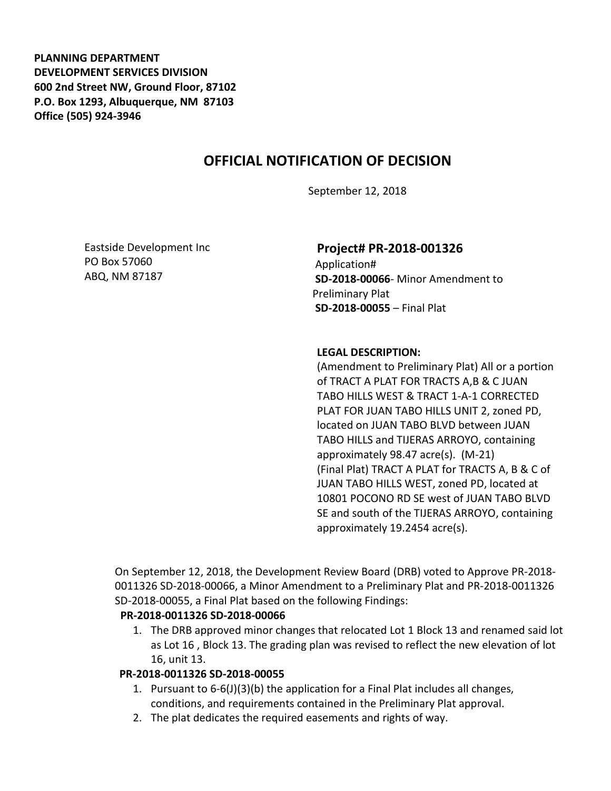**PLANNING DEPARTMENT DEVELOPMENT SERVICES DIVISION 600 2nd Street NW, Ground Floor, 87102 P.O. Box 1293, Albuquerque, NM 87103 Office (505) 924-3946** 

# **OFFICIAL NOTIFICATION OF DECISION**

September 12, 2018

Eastside Development Inc PO Box 57060 ABQ, NM 87187

# **Project# PR-2018-001326**

Application# **SD-2018-00066**- Minor Amendment to Preliminary Plat **SD-2018-00055** – Final Plat

#### **LEGAL DESCRIPTION:**

(Amendment to Preliminary Plat) All or a portion of TRACT A PLAT FOR TRACTS A,B & C JUAN TABO HILLS WEST & TRACT 1-A-1 CORRECTED PLAT FOR JUAN TABO HILLS UNIT 2, zoned PD, located on JUAN TABO BLVD between JUAN TABO HILLS and TIJERAS ARROYO, containing approximately 98.47 acre(s). (M-21) (Final Plat) TRACT A PLAT for TRACTS A, B & C of JUAN TABO HILLS WEST, zoned PD, located at 10801 POCONO RD SE west of JUAN TABO BLVD SE and south of the TIJERAS ARROYO, containing approximately 19.2454 acre(s).

On September 12, 2018, the Development Review Board (DRB) voted to Approve PR-2018- 0011326 SD-2018-00066, a Minor Amendment to a Preliminary Plat and PR-2018-0011326 SD-2018-00055, a Final Plat based on the following Findings:

## **PR-2018-0011326 SD-2018-00066**

1. The DRB approved minor changes that relocated Lot 1 Block 13 and renamed said lot as Lot 16 , Block 13. The grading plan was revised to reflect the new elevation of lot 16, unit 13.

## **PR-2018-0011326 SD-2018-00055**

- 1. Pursuant to 6-6(J)(3)(b) the application for a Final Plat includes all changes, conditions, and requirements contained in the Preliminary Plat approval.
- 2. The plat dedicates the required easements and rights of way.